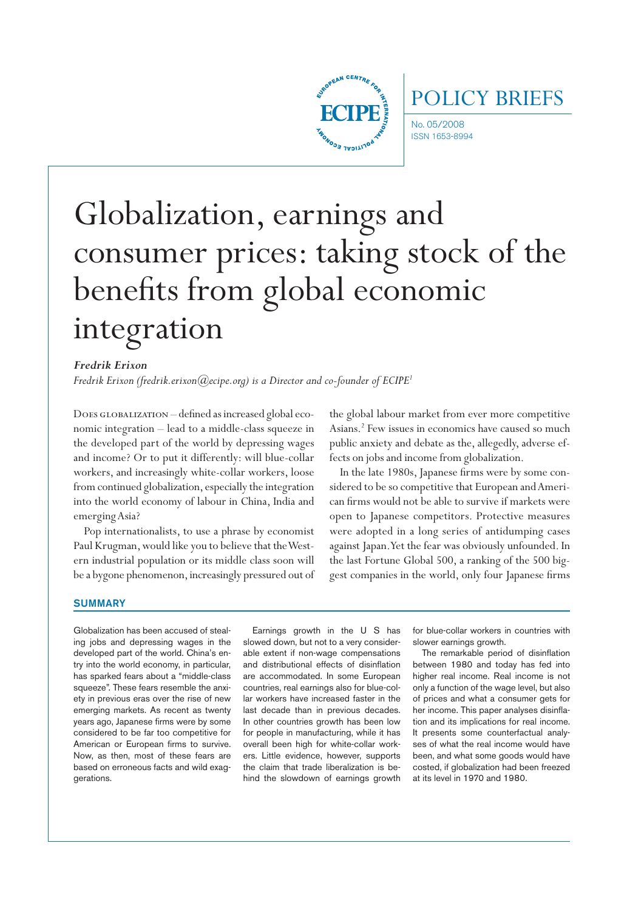

No. 05/2008 POLICY BRIEFS

ISSN 1653-8994

# Globalization, earnings and consumer prices: taking stock of the benefits from global economic integration

# *Fredrik Erixon*

*Fredrik Erixon (fredrik.erixon@ecipe.org) is a Director and co-founder of ECIPE<sup>1</sup>* 

DOES GLOBALIZATION – defined as increased global economic integration – lead to a middle-class squeeze in the developed part of the world by depressing wages and income? Or to put it differently: will blue-collar workers, and increasingly white-collar workers, loose from continued globalization, especially the integration into the world economy of labour in China, India and emerging Asia?

Pop internationalists, to use a phrase by economist Paul Krugman, would like you to believe that the Western industrial population or its middle class soon will be a bygone phenomenon, increasingly pressured out of

the global labour market from ever more competitive Asians.2 Few issues in economics have caused so much public anxiety and debate as the, allegedly, adverse effects on jobs and income from globalization.

In the late 1980s, Japanese firms were by some considered to be so competitive that European and American firms would not be able to survive if markets were open to Japanese competitors. Protective measures were adopted in a long series of antidumping cases against Japan. Yet the fear was obviously unfounded. In the last Fortune Global 500, a ranking of the 500 biggest companies in the world, only four Japanese firms

#### **SUMMARY**

Globalization has been accused of stealing jobs and depressing wages in the developed part of the world. China's entry into the world economy, in particular, has sparked fears about a "middle-class squeeze". These fears resemble the anxiety in previous eras over the rise of new emerging markets. As recent as twenty years ago, Japanese firms were by some considered to be far too competitive for American or European firms to survive. Now, as then, most of these fears are based on erroneous facts and wild exaggerations.

Earnings growth in the U S has slowed down, but not to a very considerable extent if non-wage compensations and distributional effects of disinflation are accommodated. In some European countries, real earnings also for blue-collar workers have increased faster in the last decade than in previous decades. In other countries growth has been low for people in manufacturing, while it has overall been high for white-collar workers. Little evidence, however, supports the claim that trade liberalization is behind the slowdown of earnings growth

for blue-collar workers in countries with slower earnings growth.

The remarkable period of disinflation between 1980 and today has fed into higher real income. Real income is not only a function of the wage level, but also of prices and what a consumer gets for her income. This paper analyses disinflation and its implications for real income. It presents some counterfactual analyses of what the real income would have been, and what some goods would have costed, if globalization had been freezed at its level in 1970 and 1980.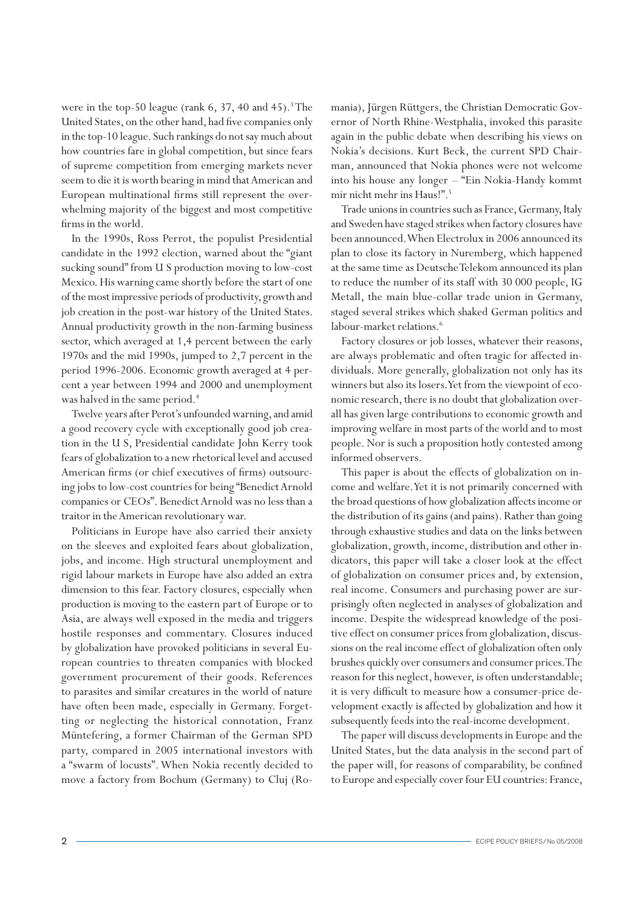were in the top-50 league (rank  $6, 37, 40$  and  $45$ ).<sup>3</sup> The United States, on the other hand, had five companies only in the top-10 league. Such rankings do not say much about how countries fare in global competition, but since fears of supreme competition from emerging markets never seem to die it is worth bearing in mind that American and European multinational firms still represent the overwhelming majority of the biggest and most competitive firms in the world.

In the 1990s, Ross Perrot, the populist Presidential candidate in the 1992 election, warned about the "giant sucking sound" from U S production moving to low-cost Mexico. His warning came shortly before the start of one of the most impressive periods of productivity, growth and job creation in the post-war history of the United States. Annual productivity growth in the non-farming business sector, which averaged at 1,4 percent between the early 1970s and the mid 1990s, jumped to 2,7 percent in the period 1996-2006. Economic growth averaged at 4 percent a year between 1994 and 2000 and unemployment was halved in the same period.<sup>4</sup>

Twelve years after Perot's unfounded warning, and amid a good recovery cycle with exceptionally good job creation in the U S, Presidential candidate John Kerry took fears of globalization to a new rhetorical level and accused American firms (or chief executives of firms) outsourcing jobs to low-cost countries for being "Benedict Arnold companies or CEOs". Benedict Arnold was no less than a traitor in the American revolutionary war.

Politicians in Europe have also carried their anxiety on the sleeves and exploited fears about globalization, jobs, and income. High structural unemployment and rigid labour markets in Europe have also added an extra dimension to this fear. Factory closures, especially when production is moving to the eastern part of Europe or to Asia, are always well exposed in the media and triggers hostile responses and commentary. Closures induced by globalization have provoked politicians in several European countries to threaten companies with blocked government procurement of their goods. References to parasites and similar creatures in the world of nature have often been made, especially in Germany. Forgetting or neglecting the historical connotation, Franz Müntefering, a former Chairman of the German SPD party, compared in 2005 international investors with a "swarm of locusts". When Nokia recently decided to move a factory from Bochum (Germany) to Cluj (Romania), Jürgen Rüttgers, the Christian Democratic Governor of North Rhine-Westphalia, invoked this parasite again in the public debate when describing his views on Nokia's decisions. Kurt Beck, the current SPD Chairman, announced that Nokia phones were not welcome into his house any longer – "Ein Nokia-Handy kommt mir nicht mehr ins Haus!".5

Trade unions in countries such as France, Germany, Italy and Sweden have staged strikes when factory closures have been announced. When Electrolux in 2006 announced its plan to close its factory in Nuremberg, which happened at the same time as Deutsche Telekom announced its plan to reduce the number of its staff with 30 000 people, IG Metall, the main blue-collar trade union in Germany, staged several strikes which shaked German politics and labour-market relations.<sup>6</sup>

Factory closures or job losses, whatever their reasons, are always problematic and often tragic for affected individuals. More generally, globalization not only has its winners but also its losers. Yet from the viewpoint of economic research, there is no doubt that globalization overall has given large contributions to economic growth and improving welfare in most parts of the world and to most people. Nor is such a proposition hotly contested among informed observers.

This paper is about the effects of globalization on income and welfare. Yet it is not primarily concerned with the broad questions of how globalization affects income or the distribution of its gains (and pains). Rather than going through exhaustive studies and data on the links between globalization, growth, income, distribution and other indicators, this paper will take a closer look at the effect of globalization on consumer prices and, by extension, real income. Consumers and purchasing power are surprisingly often neglected in analyses of globalization and income. Despite the widespread knowledge of the positive effect on consumer prices from globalization, discussions on the real income effect of globalization often only brushes quickly over consumers and consumer prices. The reason for this neglect, however, is often understandable; it is very difficult to measure how a consumer-price development exactly is affected by globalization and how it subsequently feeds into the real-income development.

The paper will discuss developments in Europe and the United States, but the data analysis in the second part of the paper will, for reasons of comparability, be confined to Europe and especially cover four EU countries: France,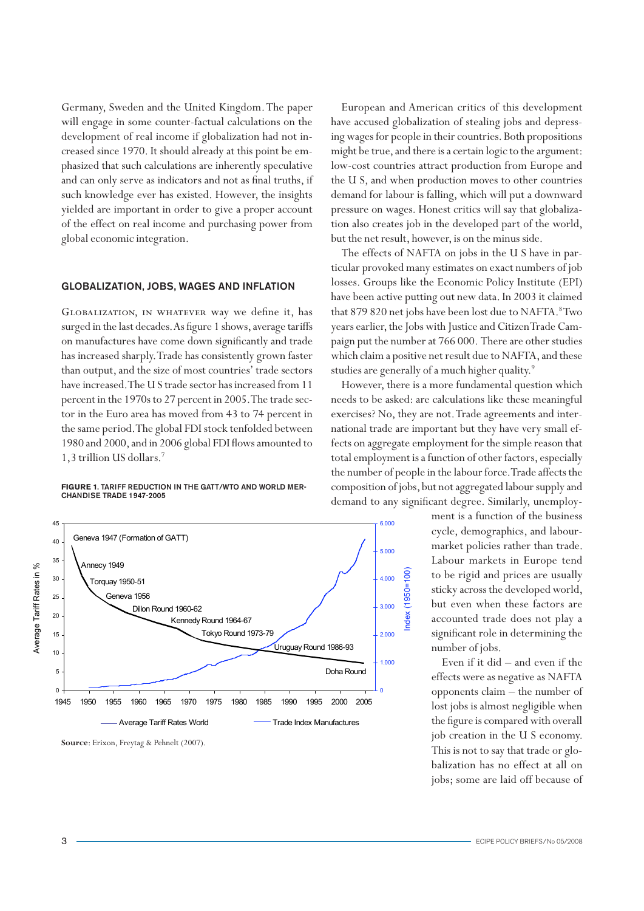Germany, Sweden and the United Kingdom. The paper will engage in some counter-factual calculations on the development of real income if globalization had not increased since 1970. It should already at this point be emphasized that such calculations are inherently speculative and can only serve as indicators and not as final truths, if the U.S., and when prod such knowledge ever has existed. However, the insights yielded are important in order to give a proper account of the effect on real income and purchasing power from global economic integration.

# GLOBALIZATION, JOBS, WAGES AND INFLATION TOSSES. Groups like the Ecc

GLOBALIZATION, IN WHATEVER way we define it, has that 879 820 net jobs have b surged in the last decades. As figure 1 shows, average tariffs years earlier, the Jobs with Ju on manufactures have come down significantly and trade has increased sharply. Trade has consistently grown faster which claim a positive net re than output, and the size of most countries' trade sectors studies are generally of a mu have increased. The U S trade sector has increased from 11 percent in the 1970s to 27 percent in 2005. The trade sec-<br>needs to be asked: are calcu tor in the Euro area has moved from 43 to 74 percent in exercises? No, they are not. the same period. The global FDI stock tenfolded between 1980 and 2000, and in 2006 global FDI flows amounted to 1,3 trillion US dollars.7

#### **Figure 1**. Tariff reduction in the GATT/WTO and world merchandise trade 1947-2005 **Tariff Reduction within the GATT/WTO**



Source: Erixon, Freytag & Pehnelt (2007).

European and American critics of this development have accused globalization of stealing jobs and depressing wages for people in their countries. Both propositions might be true, and there is a certain logic to the argument: low-cost countries attract production from Europe and the U S, and when production moves to other countries demand for labour is falling, which will put a downward pressure on wages. Honest critics will say that globalization also creates job in the developed part of the world, but the net result, however, is on the minus side.

The effects of NAFTA on jobs in the U S have in particular provoked many estimates on exact numbers of job losses. Groups like the Economic Policy Institute (EPI) have been active putting out new data. In 2003 it claimed that 879 820 net jobs have been lost due to NAFTA.<sup>8</sup>Two years earlier, the Jobs with Justice and Citizen Trade Campaign put the number at 766 000. There are other studies which claim a positive net result due to NAFTA, and these studies are generally of a much higher quality.<sup>9</sup>

> However, there is a more fundamental question which needs to be asked: are calculations like these meaningful exercises? No, they are not. Trade agreements and international trade are important but they have very small effects on aggregate employment for the simple reason that total employment is a function of other factors, especially the number of people in the labour force. Trade affects the composition of jobs, but not aggregated labour supply and demand to any significant degree. Similarly, unemploy-

> > Index (1950=100)

ndex

 $1950 = 100$ 

ment is a function of the business cycle, demographics, and labourmarket policies rather than trade. Labour markets in Europe tend to be rigid and prices are usually sticky across the developed world, but even when these factors are accounted trade does not play a significant role in determining the number of jobs.

Even if it did – and even if the effects were as negative as NAFTA opponents claim – the number of lost jobs is almost negligible when the figure is compared with overall job creation in the U S economy. This is not to say that trade or globalization has no effect at all on jobs; some are laid off because of  $j$ obs;

Average Tariff Rates in %

Average Tariff Rates in %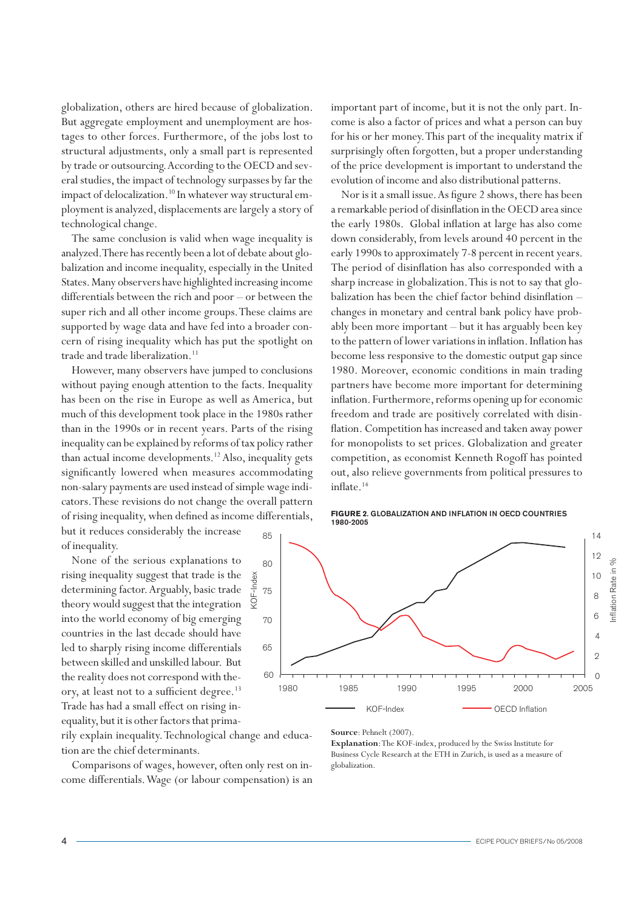globalization, others are hired because of globalization. But aggregate employment and unemployment are hostages to other forces. Furthermore, of the jobs lost to structural adjustments, only a small part is represented by trade or outsourcing. According to the OECD and several studies, the impact of technology surpasses by far the impact of delocalization.<sup>10</sup> In whatever way structural employment is analyzed, displacements are largely a story of technological change.

The same conclusion is valid when wage inequality is analyzed. There has recently been a lot of debate about globalization and income inequality, especially in the United States. Many observers have highlighted increasing income differentials between the rich and poor – or between the super rich and all other income groups. These claims are supported by wage data and have fed into a broader concern of rising inequality which has put the spotlight on trade and trade liberalization.<sup>11</sup>

However, many observers have jumped to conclusions without paying enough attention to the facts. Inequality has been on the rise in Europe as well as America, but much of this development took place in the 1980s rather than in the 1990s or in recent years. Parts of the rising inequality can be explained by reforms of tax policy rather than actual income developments.<sup>12</sup> Also, inequality gets significantly lowered when measures accommodating non-salary payments are used instead of simple wage indicators. These revisions do not change the overall pattern of rising inequality, when defined as income differentials, but it reduces considerably the increase

KOF-Index

Ş

of inequality.

None of the serious explanations to rising inequality suggest that trade is the determining factor. Arguably, basic trade theory would suggest that the integration into the world economy of big emerging countries in the last decade should have led to sharply rising income differentials between skilled and unskilled labour. But the reality does not correspond with theory, at least not to a sufficient degree.<sup>13</sup> Trade has had a small effect on rising inequality, but it is other factors that prima-

rily explain inequality. Technological change and education are the chief determinants.

Comparisons of wages, however, often only rest on income differentials. Wage (or labour compensation) is an important part of income, but it is not the only part. Income is also a factor of prices and what a person can buy for his or her money. This part of the inequality matrix if surprisingly often forgotten, but a proper understanding of the price development is important to understand the evolution of income and also distributional patterns.

Nor is it a small issue. As figure 2 shows, there has been a remarkable period of disinflation in the OECD area since the early 1980s. Global inflation at large has also come down considerably, from levels around 40 percent in the early 1990s to approximately 7-8 percent in recent years. The period of disinflation has also corresponded with a sharp increase in globalization. This is not to say that globalization has been the chief factor behind disinflation – changes in monetary and central bank policy have probably been more important – but it has arguably been key to the pattern of lower variations in inflation. Inflation has become less responsive to the domestic output gap since 1980. Moreover, economic conditions in main trading partners have become more important for determining inflation. Furthermore, reforms opening up for economic freedom and trade are positively correlated with disinflation. Competition has increased and taken away power for monopolists to set prices. Globalization and greater competition, as economist Kenneth Rogoff has pointed out, also relieve governments from political pressures to inflate.<sup>14</sup>





**Source**: Pehnelt (2007).

**Explanation**: The KOF-index, produced by the Swiss Institute for Business Cycle Research at the ETH in Zurich, is used as a measure of globalization.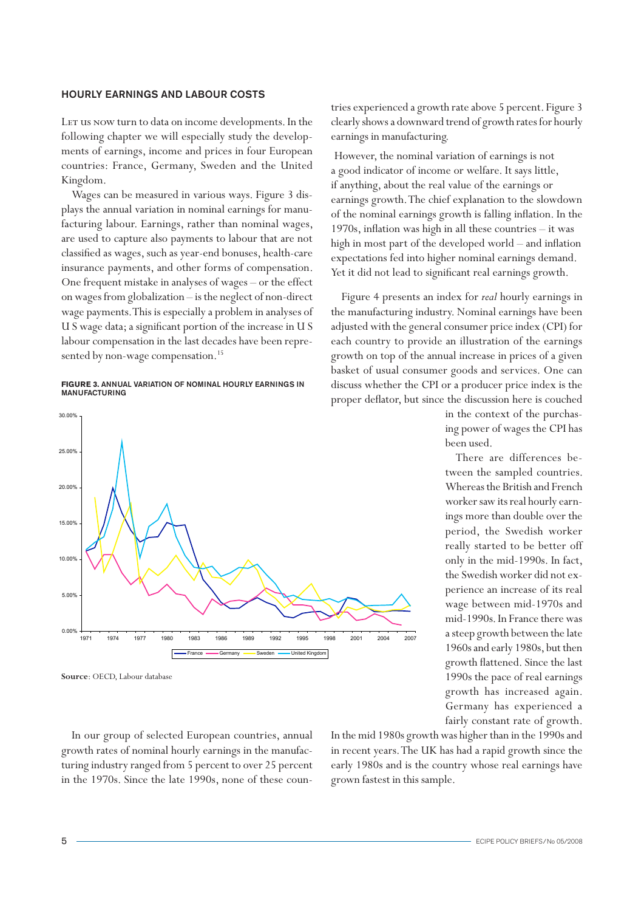# Hourly earnings and labour costs

LET us now turn to data on income developments. In the following chapter we will especially study the developments of earnings, income and prices in four European countries: France, Germany, Sweden and the United Kingdom.

Wages can be measured in various ways. Figure 3 displays the annual variation in nominal earnings for manufacturing labour. Earnings, rather than nominal wages, are used to capture also payments to labour that are not classified as wages, such as year-end bonuses, health-care insurance payments, and other forms of compensation. One frequent mistake in analyses of wages – or the effect on wages from globalization – is the neglect of non-direct wage payments. This is especially a problem in analyses of U S wage data; a significant portion of the increase in U S labour compensation in the last decades have been represented by non-wage compensation.<sup>15</sup>

## **Figure 3.** Annual variation of nominal hourly earnings in **MANUFACTURING**



**Source**: OECD, Labour database

In our group of selected European countries, annual growth rates of nominal hourly earnings in the manufacturing industry ranged from 5 percent to over 25 percent in the 1970s. Since the late 1990s, none of these counIn the mid 1980s growth was higher than in the 1990s and in recent years. The UK has had a rapid growth since the early 1980s and is the country whose real earnings have grown fastest in this sample.

tries experienced a growth rate above 5 percent. Figure 3 clearly shows a downward trend of growth rates for hourly earnings in manufacturing.

However, the nominal variation of earnings is not a good indicator of income or welfare. It says little, if anything, about the real value of the earnings or earnings growth. The chief explanation to the slowdown of the nominal earnings growth is falling inflation. In the 1970s, inflation was high in all these countries – it was high in most part of the developed world – and inflation expectations fed into higher nominal earnings demand. Yet it did not lead to significant real earnings growth.

Figure 4 presents an index for *real* hourly earnings in the manufacturing industry. Nominal earnings have been adjusted with the general consumer price index (CPI) for each country to provide an illustration of the earnings growth on top of the annual increase in prices of a given basket of usual consumer goods and services. One can discuss whether the CPI or a producer price index is the proper deflator, but since the discussion here is couched

> in the context of the purchasing power of wages the CPI has been used.

> There are differences between the sampled countries. Whereas the British and French worker saw its real hourly earnings more than double over the period, the Swedish worker really started to be better off only in the mid-1990s. In fact, the Swedish worker did not experience an increase of its real wage between mid-1970s and mid-1990s. In France there was a steep growth between the late 1960s and early 1980s, but then growth flattened. Since the last 1990s the pace of real earnings growth has increased again. Germany has experienced a fairly constant rate of growth.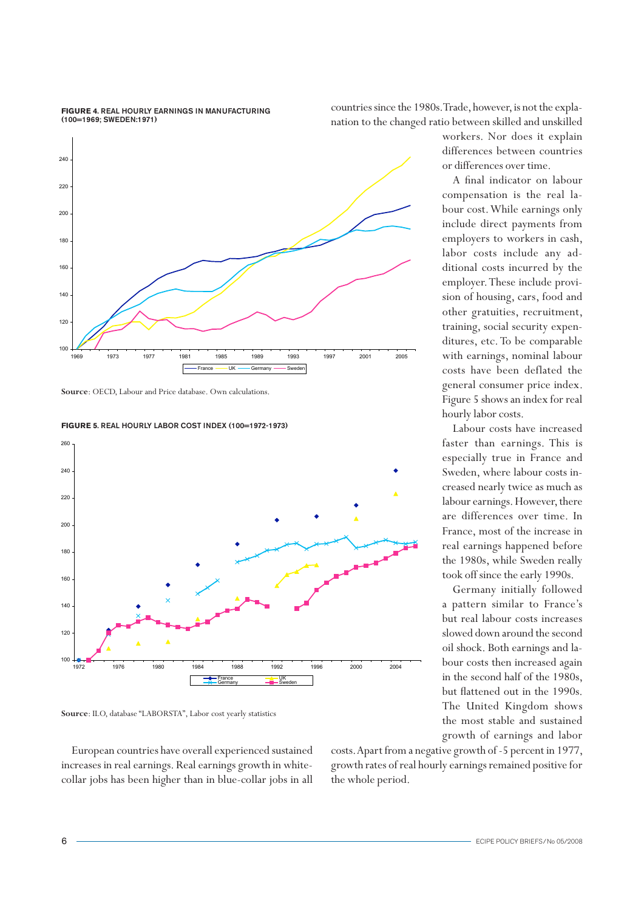#### **Figure 4**. Real hourly earnings in manufacturing (100=1969; Sweden:1971)

countries since the 1980s. Trade, however, is not the explanation to the changed ratio between skilled and unskilled



**Source**: OECD, Labour and Price database. Own calculations.





**Source**: ILO, database "LABORSTA", Labor cost yearly statistics

European countries have overall experienced sustained increases in real earnings. Real earnings growth in whitecollar jobs has been higher than in blue-collar jobs in all

costs. Apart from a negative growth of -5 percent in 1977, growth rates of real hourly earnings remained positive for the whole period.

workers. Nor does it explain differences between countries or differences over time.

A final indicator on labour compensation is the real labour cost. While earnings only include direct payments from employers to workers in cash, labor costs include any additional costs incurred by the employer. These include provision of housing, cars, food and other gratuities, recruitment, training, social security expenditures, etc. To be comparable with earnings, nominal labour costs have been deflated the general consumer price index. Figure 5 shows an index for real hourly labor costs.

Labour costs have increased faster than earnings. This is especially true in France and Sweden, where labour costs increased nearly twice as much as labour earnings. However, there are differences over time. In France, most of the increase in real earnings happened before the 1980s, while Sweden really took off since the early 1990s.

Germany initially followed a pattern similar to France's but real labour costs increases slowed down around the second oil shock. Both earnings and labour costs then increased again in the second half of the 1980s, but flattened out in the 1990s. The United Kingdom shows the most stable and sustained growth of earnings and labor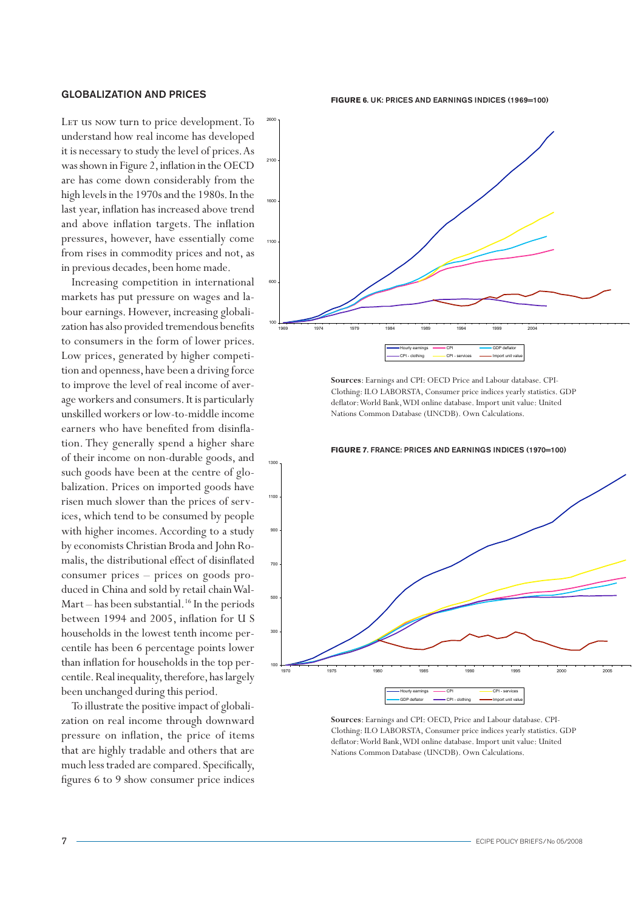# Globalization and prices

Let us now turn to price development. To understand how real income has developed it is necessary to study the level of prices. As was shown in Figure 2, inflation in the OECD are has come down considerably from the high levels in the 1970s and the 1980s. In the last year, inflation has increased above trend and above inflation targets. The inflation pressures, however, have essentially come from rises in commodity prices and not, as in previous decades, been home made.

Increasing competition in international markets has put pressure on wages and labour earnings. However, increasing globalization has also provided tremendous benefits to consumers in the form of lower prices. Low prices, generated by higher competition and openness, have been a driving force to improve the level of real income of average workers and consumers. It is particularly unskilled workers or low-to-middle income earners who have benefited from disinflation. They generally spend a higher share of their income on non-durable goods, and such goods have been at the centre of globalization. Prices on imported goods have risen much slower than the prices of services, which tend to be consumed by people with higher incomes. According to a study by economists Christian Broda and John Romalis, the distributional effect of disinflated consumer prices – prices on goods produced in China and sold by retail chain Wal-Mart – has been substantial.<sup>16</sup> In the periods between 1994 and 2005, inflation for U S households in the lowest tenth income percentile has been 6 percentage points lower than inflation for households in the top percentile. Real inequality, therefore, has largely been unchanged during this period.

To illustrate the positive impact of globalization on real income through downward pressure on inflation, the price of items that are highly tradable and others that are much less traded are compared. Specifically, figures 6 to 9 show consumer price indices

#### **Figure 6**. UK: Prices and earnings indices (1969=100)



**Sources**: Earnings and CPI: OECD Price and Labour database. CPI-Clothing: ILO LABORSTA, Consumer price indices yearly statistics. GDP deflator: World Bank, WDI online database. Import unit value: United Nations Common Database (UNCDB). Own Calculations.



**Sources**: Earnings and CPI: OECD, Price and Labour database. CPI-Clothing: ILO LABORSTA, Consumer price indices yearly statistics. GDP deflator: World Bank, WDI online database. Import unit value: United Nations Common Database (UNCDB). Own Calculations.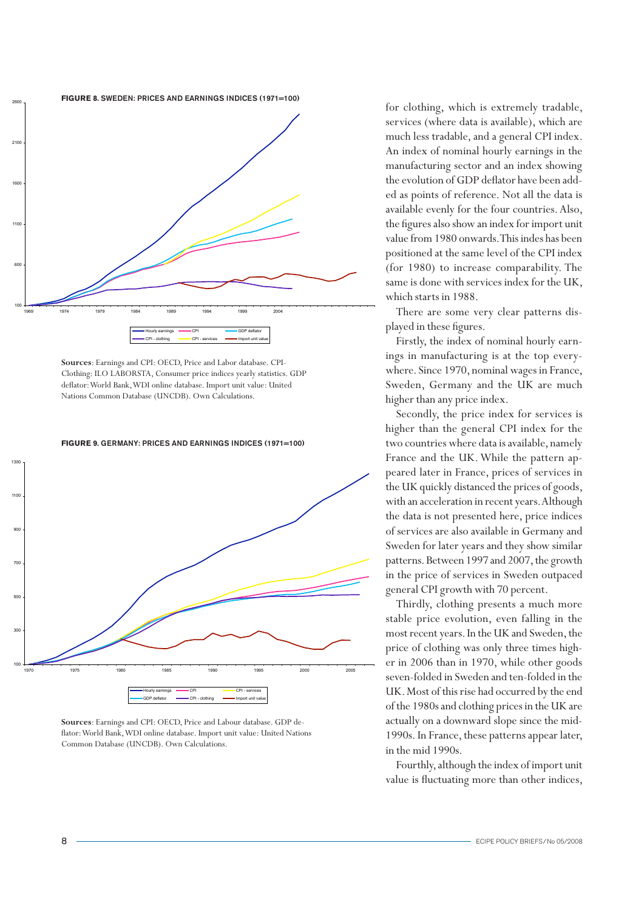

**Sources**: Earnings and CPI: OECD, Price and Labor database. CPI-Clothing: ILO LABORSTA, Consumer price indices yearly statistics. GDP deflator: World Bank, WDI online database. Import unit value: United Nations Common Database (UNCDB). Own Calculations.

**Figure 9**. Germany: Prices and earnings indices (1971=100)



**Sources**: Earnings and CPI: OECD, Price and Labour database. GDP deflator: World Bank, WDI online database. Import unit value: United Nations Common Database (UNCDB). Own Calculations.

for clothing, which is extremely tradable, services (where data is available), which are much less tradable, and a general CPI index. An index of nominal hourly earnings in the manufacturing sector and an index showing the evolution of GDP deflator have been added as points of reference. Not all the data is available evenly for the four countries. Also, the figures also show an index for import unit value from 1980 onwards. This indes has been positioned at the same level of the CPI index (for 1980) to increase comparability. The same is done with services index for the UK, which starts in 1988.

There are some very clear patterns displayed in these figures.

Firstly, the index of nominal hourly earnings in manufacturing is at the top everywhere. Since 1970, nominal wages in France, Sweden, Germany and the UK are much higher than any price index.

Secondly, the price index for services is higher than the general CPI index for the two countries where data is available, namely France and the UK. While the pattern appeared later in France, prices of services in the UK quickly distanced the prices of goods, with an acceleration in recent years. Although the data is not presented here, price indices of services are also available in Germany and Sweden for later years and they show similar patterns. Between 1997 and 2007, the growth in the price of services in Sweden outpaced general CPI growth with 70 percent.

Thirdly, clothing presents a much more stable price evolution, even falling in the most recent years. In the UK and Sweden, the price of clothing was only three times higher in 2006 than in 1970, while other goods seven-folded in Sweden and ten-folded in the UK. Most of this rise had occurred by the end of the 1980s and clothing prices in the UK are actually on a downward slope since the mid-1990s. In France, these patterns appear later, in the mid 1990s.

Fourthly, although the index of import unit value is fluctuating more than other indices,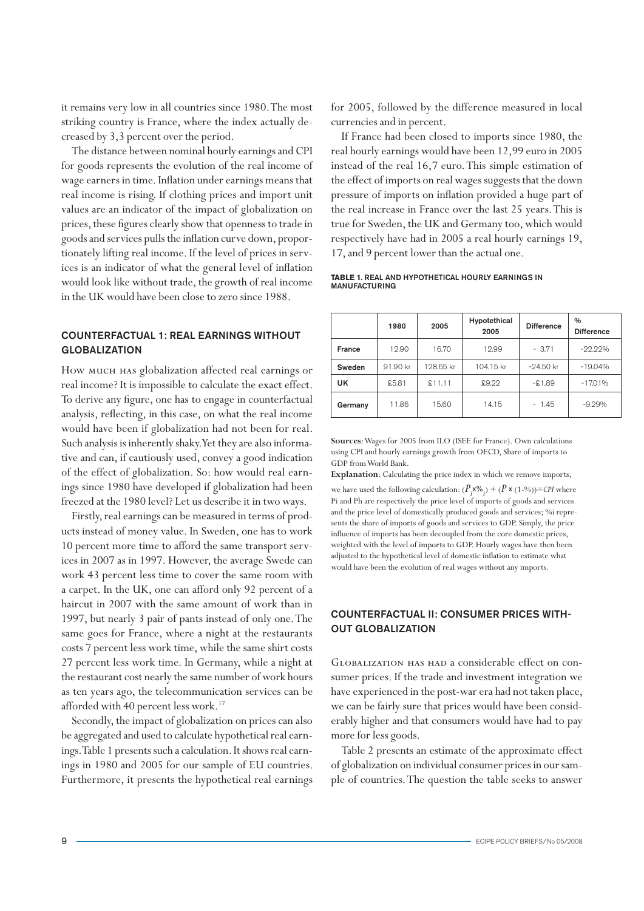it remains very low in all countries since 1980. The most striking country is France, where the index actually decreased by 3,3 percent over the period.

The distance between nominal hourly earnings and CPI for goods represents the evolution of the real income of wage earners in time. Inflation under earnings means that real income is rising. If clothing prices and import unit values are an indicator of the impact of globalization on prices, these figures clearly show that openness to trade in goods and services pulls the inflation curve down, proportionately lifting real income. If the level of prices in services is an indicator of what the general level of inflation would look like without trade, the growth of real income in the UK would have been close to zero since 1988.

# Counterfactual 1: real earnings without **GLOBALIZATION**

How much has globalization affected real earnings or real income? It is impossible to calculate the exact effect. To derive any figure, one has to engage in counterfactual analysis, reflecting, in this case, on what the real income would have been if globalization had not been for real. Such analysis is inherently shaky. Yet they are also informative and can, if cautiously used, convey a good indication of the effect of globalization. So: how would real earnings since 1980 have developed if globalization had been freezed at the 1980 level? Let us describe it in two ways.

Firstly, real earnings can be measured in terms of products instead of money value. In Sweden, one has to work 10 percent more time to afford the same transport services in 2007 as in 1997. However, the average Swede can work 43 percent less time to cover the same room with a carpet. In the UK, one can afford only 92 percent of a haircut in 2007 with the same amount of work than in 1997, but nearly 3 pair of pants instead of only one. The same goes for France, where a night at the restaurants costs 7 percent less work time, while the same shirt costs 27 percent less work time. In Germany, while a night at the restaurant cost nearly the same number of work hours as ten years ago, the telecommunication services can be afforded with 40 percent less work.<sup>17</sup>

Secondly, the impact of globalization on prices can also be aggregated and used to calculate hypothetical real earnings. Table 1 presents such a calculation. It shows real earnings in 1980 and 2005 for our sample of EU countries. Furthermore, it presents the hypothetical real earnings for 2005, followed by the difference measured in local currencies and in percent.

If France had been closed to imports since 1980, the real hourly earnings would have been 12,99 euro in 2005 instead of the real 16,7 euro. This simple estimation of the effect of imports on real wages suggests that the down pressure of imports on inflation provided a huge part of the real increase in France over the last 25 years. This is true for Sweden, the UK and Germany too, which would respectively have had in 2005 a real hourly earnings 19, 17, and 9 percent lower than the actual one.

### **Table 1**. Real and hypothetical hourly earnings in manufacturing

|         | 1980     | 2005      | Hypotethical<br>2005 | <b>Difference</b> | $\frac{0}{0}$<br><b>Difference</b> |  |
|---------|----------|-----------|----------------------|-------------------|------------------------------------|--|
| France  | €12.90   | €16.70    | €12.99               | $-63.71$          | $-22.22%$                          |  |
| Sweden  | 91.90 kr | 128.65 kr | 104.15 kr            | $-24.50$ kr       | $-19.04%$                          |  |
| UK      | £5.81    | \$11.11   | \$9.22               | $-21.89$          | $-17.01%$                          |  |
| Germany | €11.86   | €15.60    | €14.15               | $-61.45$          | $-9.29%$                           |  |

**Sources**: Wages for 2005 from ILO (ISEE for France). Own calculations using CPI and hourly earnings growth from OECD, Share of imports to GDP from World Bank.

**Explanation**: Calculating the price index in which we remove imports,

we have used the following calculation:  $(P_j^{\textbf{\textit{x}}\otimes_{j}}) + (P^{\textbf{\textit{x}}}\,(1\text{-}\%)$  = *CPI* where Pi and Ph are respectively the price level of imports of goods and services and the price level of domestically produced goods and services; %i represents the share of imports of goods and services to GDP. Simply, the price influence of imports has been decoupled from the core domestic prices, weighted with the level of imports to GDP. Hourly wages have then been adjusted to the hypothetical level of domestic inflation to estimate what would have been the evolution of real wages without any imports.

# Counterfactual II: Consumer prices without globalization

Globalization has had a considerable effect on consumer prices. If the trade and investment integration we have experienced in the post-war era had not taken place, we can be fairly sure that prices would have been considerably higher and that consumers would have had to pay more for less goods.

Table 2 presents an estimate of the approximate effect of globalization on individual consumer prices in our sample of countries. The question the table seeks to answer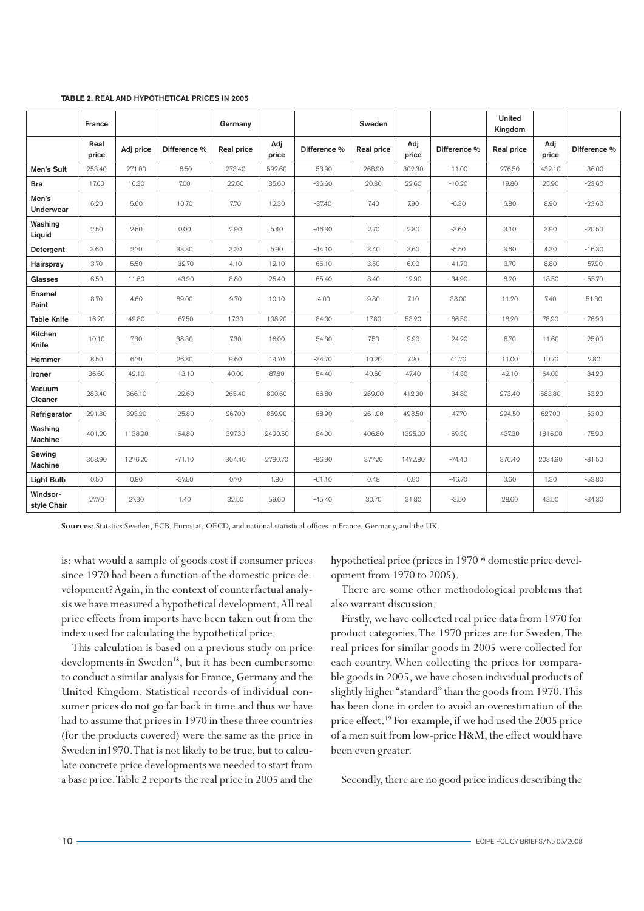|                           |               |           |              |            |              |              |            |              |              | United     |              |              |
|---------------------------|---------------|-----------|--------------|------------|--------------|--------------|------------|--------------|--------------|------------|--------------|--------------|
|                           | France        |           |              | Germany    |              |              | Sweden     |              |              | Kingdom    |              |              |
|                           | Real<br>price | Adj price | Difference % | Real price | Adj<br>price | Difference % | Real price | Adj<br>price | Difference % | Real price | Adj<br>price | Difference % |
| Men's Suit                | 253.40        | 271.00    | $-6.50$      | 273.40     | 592.60       | $-53.90$     | 268.90     | 302.30       | $-11.00$     | 276.50     | 432.10       | $-36.00$     |
| <b>Bra</b>                | 17.60         | 16.30     | 7.00         | 22.60      | 35.60        | $-36.60$     | 20.30      | 22.60        | $-10.20$     | 19.80      | 25.90        | $-23.60$     |
| Men's<br><b>Underwear</b> | 6.20          | 5.60      | 10.70        | 7.70       | 12.30        | $-37.40$     | 7.40       | 7.90         | $-6.30$      | 6.80       | 8.90         | $-23.60$     |
| Washing<br>Liquid         | 2.50          | 2.50      | 0.00         | 2.90       | 5.40         | $-46.30$     | 2.70       | 2.80         | $-3.60$      | 3.10       | 3.90         | $-20.50$     |
| Detergent                 | 3.60          | 2.70      | 33.30        | 3.30       | 5.90         | $-44.10$     | 3.40       | 3.60         | $-5.50$      | 3.60       | 4.30         | $-16.30$     |
| Hairspray                 | 3.70          | 5.50      | $-32.70$     | 4.10       | 12.10        | $-66.10$     | 3.50       | 6.00         | $-41.70$     | 3.70       | 8.80         | $-57.90$     |
| Glasses                   | 6.50          | 11.60     | $-43.90$     | 8.80       | 25.40        | $-65.40$     | 8.40       | 12.90        | $-34.90$     | 8.20       | 18.50        | $-55.70$     |
| Enamel<br>Paint           | 8.70          | 4.60      | 89.00        | 9.70       | 10.10        | $-4.00$      | 9.80       | 7.10         | 38.00        | 11.20      | 7.40         | 51.30        |
| <b>Table Knife</b>        | 16.20         | 49.80     | $-67.50$     | 17.30      | 108.20       | $-84.00$     | 17.80      | 53.20        | $-66.50$     | 18.20      | 78.90        | $-76.90$     |
| Kitchen<br>Knife          | 10.10         | 7.30      | 38.30        | 7.30       | 16.00        | $-54.30$     | 7.50       | 9.90         | $-24.20$     | 8.70       | 11.60        | $-25.00$     |
| Hammer                    | 8.50          | 6.70      | 26.80        | 9.60       | 14.70        | $-34.70$     | 10.20      | 7.20         | 41.70        | 11.00      | 10.70        | 2.80         |
| Ironer                    | 36.60         | 42.10     | $-13.10$     | 40.00      | 87.80        | $-54.40$     | 40.60      | 47.40        | $-14.30$     | 42.10      | 64.00        | $-34.20$     |
| Vacuum<br>Cleaner         | 283.40        | 366.10    | $-22.60$     | 265.40     | 800.60       | $-66.80$     | 269.00     | 412.30       | $-34.80$     | 273.40     | 583.80       | $-53.20$     |
| Refrigerator              | 291.80        | 393.20    | $-25.80$     | 267.00     | 859.90       | $-68.90$     | 261.00     | 498.50       | $-47.70$     | 294.50     | 627.00       | $-53.00$     |
| Washing<br><b>Machine</b> | 401.20        | 1138.90   | $-64.80$     | 397.30     | 2490.50      | $-84.00$     | 406.80     | 1325.00      | $-69.30$     | 437.30     | 1816.00      | $-75.90$     |
| Sewing<br><b>Machine</b>  | 368.90        | 1276.20   | $-71.10$     | 364.40     | 2790.70      | $-86.90$     | 377.20     | 1472.80      | $-74.40$     | 376.40     | 2034.90      | $-81.50$     |
| <b>Light Bulb</b>         | 0.50          | 0.80      | $-37.50$     | 0.70       | 1.80         | $-61.10$     | 0.48       | 0.90         | $-46.70$     | 0.60       | 1.30         | $-53.80$     |
| Windsor-<br>style Chair   | 27.70         | 27.30     | 1.40         | 32.50      | 59.60        | $-45.40$     | 30.70      | 31.80        | $-3.50$      | 28.60      | 43.50        | $-34.30$     |

#### **Table 2.** Real and hypothetical prices in 2005

**Sources**: Statstics Sweden, ECB, Eurostat, OECD, and national statistical offices in France, Germany, and the UK.

is: what would a sample of goods cost if consumer prices since 1970 had been a function of the domestic price development? Again, in the context of counterfactual analysis we have measured a hypothetical development. All real price effects from imports have been taken out from the index used for calculating the hypothetical price.

This calculation is based on a previous study on price developments in Sweden<sup>18</sup>, but it has been cumbersome to conduct a similar analysis for France, Germany and the United Kingdom. Statistical records of individual consumer prices do not go far back in time and thus we have had to assume that prices in 1970 in these three countries (for the products covered) were the same as the price in Sweden in1970. That is not likely to be true, but to calculate concrete price developments we needed to start from a base price. Table 2 reports the real price in 2005 and the hypothetical price (prices in 1970 \* domestic price development from 1970 to 2005).

There are some other methodological problems that also warrant discussion.

Firstly, we have collected real price data from 1970 for product categories. The 1970 prices are for Sweden. The real prices for similar goods in 2005 were collected for each country. When collecting the prices for comparable goods in 2005, we have chosen individual products of slightly higher "standard" than the goods from 1970. This has been done in order to avoid an overestimation of the price effect.<sup>19</sup> For example, if we had used the 2005 price of a men suit from low-price H&M, the effect would have been even greater.

Secondly, there are no good price indices describing the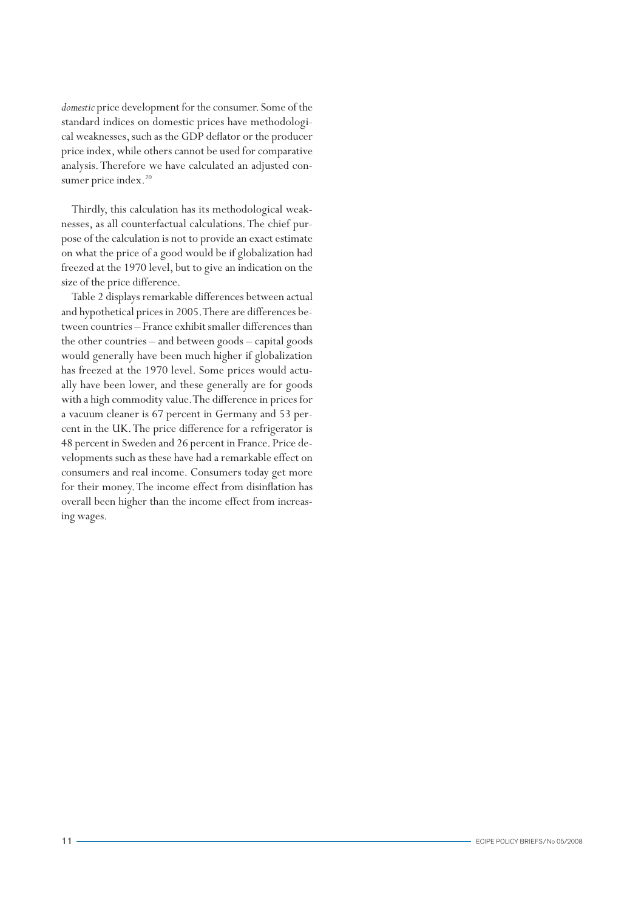*domestic* price development for the consumer. Some of the standard indices on domestic prices have methodological weaknesses, such as the GDP deflator or the producer price index, while others cannot be used for comparative analysis. Therefore we have calculated an adjusted consumer price index.<sup>20</sup>

Thirdly, this calculation has its methodological weaknesses, as all counterfactual calculations. The chief purpose of the calculation is not to provide an exact estimate on what the price of a good would be if globalization had freezed at the 1970 level, but to give an indication on the size of the price difference.

Table 2 displays remarkable differences between actual and hypothetical prices in 2005. There are differences between countries – France exhibit smaller differences than the other countries – and between goods – capital goods would generally have been much higher if globalization has freezed at the 1970 level. Some prices would actually have been lower, and these generally are for goods with a high commodity value. The difference in prices for a vacuum cleaner is 67 percent in Germany and 53 percent in the UK. The price difference for a refrigerator is 48 percent in Sweden and 26 percent in France. Price developments such as these have had a remarkable effect on consumers and real income. Consumers today get more for their money. The income effect from disinflation has overall been higher than the income effect from increasing wages.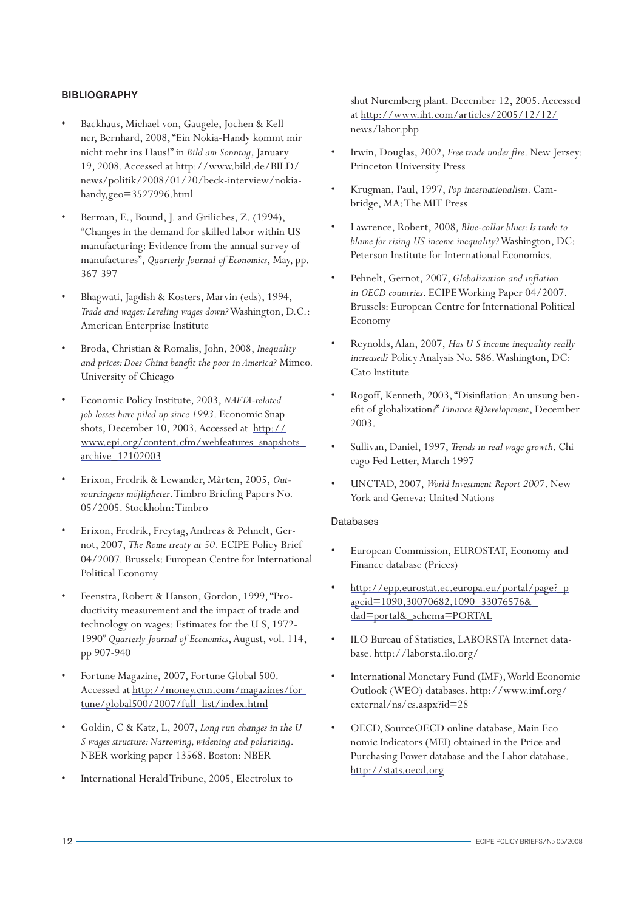# **BIBLIOGRAPHY**

- Backhaus, Michael von, Gaugele, Jochen & Kellner, Bernhard, 2008, "Ein Nokia-Handy kommt mir nicht mehr ins Haus!" in *Bild am Sonntag*, January 19, 2008. Accessed at http://www.bild.de/BILD/ news/politik/2008/01/20/beck-interview/nokiahandy,geo=3527996.html
- Berman, E., Bound, J. and Griliches, Z. (1994), "Changes in the demand for skilled labor within US manufacturing: Evidence from the annual survey of manufactures", *Quarterly Journal of Economics*, May, pp. 367-397
- Bhagwati, Jagdish & Kosters, Marvin (eds), 1994, *Trade and wages: Leveling wages down?* Washington, D.C.: American Enterprise Institute
- Broda, Christian & Romalis, John, 2008, *Inequality and prices: Does China benefit the poor in America?* Mimeo. University of Chicago
- Economic Policy Institute, 2003, *NAFTA-related job losses have piled up since 1993*. Economic Snapshots, December 10, 2003. Accessed at http:// www.epi.org/content.cfm/webfeatures\_snapshots\_ archive\_12102003
- Erixon, Fredrik & Lewander, Mårten, 2005, Out*sourcingens möjligheter*. Timbro Briefing Papers No. 05/2005. Stockholm: Timbro
- Erixon, Fredrik, Freytag, Andreas & Pehnelt, Gernot, 2007, *The Rome treaty at 50*. ECIPE Policy Brief 04/2007. Brussels: European Centre for International Political Economy
- Feenstra, Robert & Hanson, Gordon, 1999, "Productivity measurement and the impact of trade and technology on wages: Estimates for the U S, 1972- 1990" *Quarterly Journal of Economics*, August, vol. 114, pp 907-940
- Fortune Magazine, 2007, Fortune Global 500. Accessed at http://money.cnn.com/magazines/fortune/global500/2007/full\_list/index.html
- Goldin, C & Katz, L, 2007, *Long run changes in the U S wages structure: Narrowing, widening and polarizing*. NBER working paper 13568. Boston: NBER
- International Herald Tribune, 2005, Electrolux to

shut Nuremberg plant. December 12, 2005. Accessed at http://www.iht.com/articles/2005/12/12/ news/labor.php

- Irwin, Douglas, 2002, *Free trade under fire*. New Jersey: Princeton University Press
- • Krugman, Paul, 1997, *Pop internationalism*. Cambridge, MA: The MIT Press
- Lawrence, Robert, 2008, *Blue-collar blues: Is trade to blame for rising US income inequality?* Washington, DC: Peterson Institute for International Economics.
- Pehnelt, Gernot, 2007, *Globalization and inflation in OECD countries*. ECIPE Working Paper 04/2007. Brussels: European Centre for International Political Economy
- Reynolds, Alan, 2007, *Has U S income inequality really increased?* Policy Analysis No. 586. Washington, DC: Cato Institute
- Rogoff, Kenneth, 2003, "Disinflation: An unsung benefit of globalization?" *Finance &Development*, December 2003.
- Sullivan, Daniel, 1997, *Trends in real wage growth*. Chicago Fed Letter, March 1997
- UNCTAD, 2007, *World Investment Report 2007*. New York and Geneva: United Nations

# Databases

- European Commission, EUROSTAT, Economy and Finance database (Prices)
- http://epp.eurostat.ec.europa.eu/portal/page?\_p ageid=1090,30070682,1090\_33076576&\_ dad=portal&\_schema=PORTAL
- ILO Bureau of Statistics, LABORSTA Internet database. http://laborsta.ilo.org/
- International Monetary Fund (IMF), World Economic Outlook (WEO) databases. http://www.imf.org/ external/ns/cs.aspx?id=28
- OECD, SourceOECD online database, Main Economic Indicators (MEI) obtained in the Price and Purchasing Power database and the Labor database. http://stats.oecd.org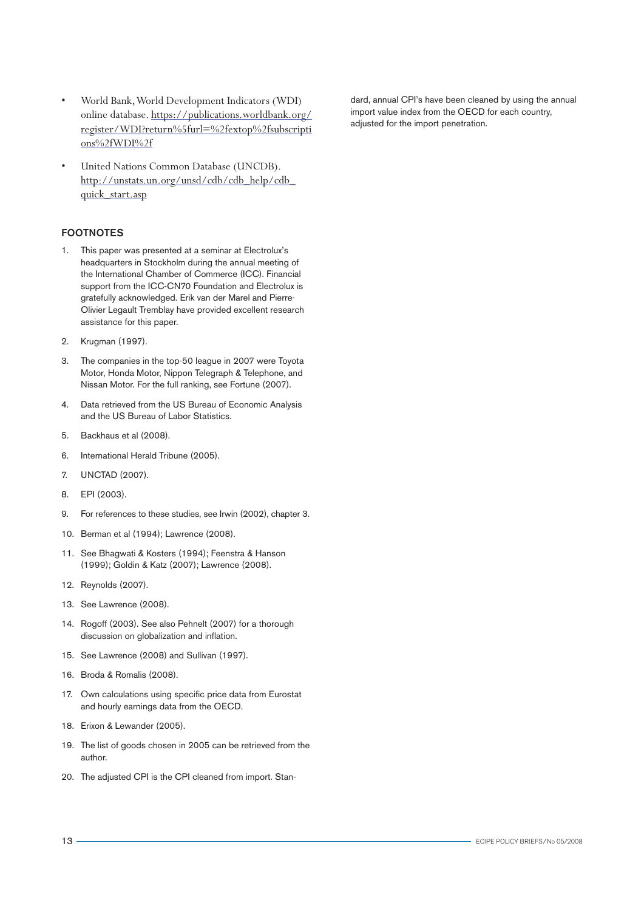- World Bank, World Development Indicators (WDI) online database. https://publications.worldbank.org/ register/WDI?return%5furl=%2fextop%2fsubscripti ons%2fWDI%2f
- United Nations Common Database (UNCDB). http://unstats.un.org/unsd/cdb/cdb\_help/cdb\_ quick\_start.asp

# FOOTNOTES

- 1. This paper was presented at a seminar at Electrolux's headquarters in Stockholm during the annual meeting of the International Chamber of Commerce (ICC). Financial support from the ICC-CN70 Foundation and Electrolux is gratefully acknowledged. Erik van der Marel and Pierre-Olivier Legault Tremblay have provided excellent research assistance for this paper.
- 2. Krugman (1997).
- 3. The companies in the top-50 league in 2007 were Toyota Motor, Honda Motor, Nippon Telegraph & Telephone, and Nissan Motor. For the full ranking, see Fortune (2007).
- 4. Data retrieved from the US Bureau of Economic Analysis and the US Bureau of Labor Statistics.
- 5. Backhaus et al (2008).
- 6. International Herald Tribune (2005).
- 7. UNCTAD (2007).
- 8. EPI (2003).
- 9. For references to these studies, see Irwin (2002), chapter 3.
- 10. Berman et al (1994); Lawrence (2008).
- 11. See Bhagwati & Kosters (1994); Feenstra & Hanson (1999); Goldin & Katz (2007); Lawrence (2008).
- 12. Reynolds (2007).
- 13. See Lawrence (2008).
- 14. Rogoff (2003). See also Pehnelt (2007) for a thorough discussion on globalization and inflation.
- 15. See Lawrence (2008) and Sullivan (1997).
- 16. Broda & Romalis (2008).
- 17. Own calculations using specific price data from Eurostat and hourly earnings data from the OECD.
- 18. Erixon & Lewander (2005).
- 19. The list of goods chosen in 2005 can be retrieved from the author.
- 20. The adjusted CPI is the CPI cleaned from import. Stan-

dard, annual CPI's have been cleaned by using the annual import value index from the OECD for each country, adjusted for the import penetration.